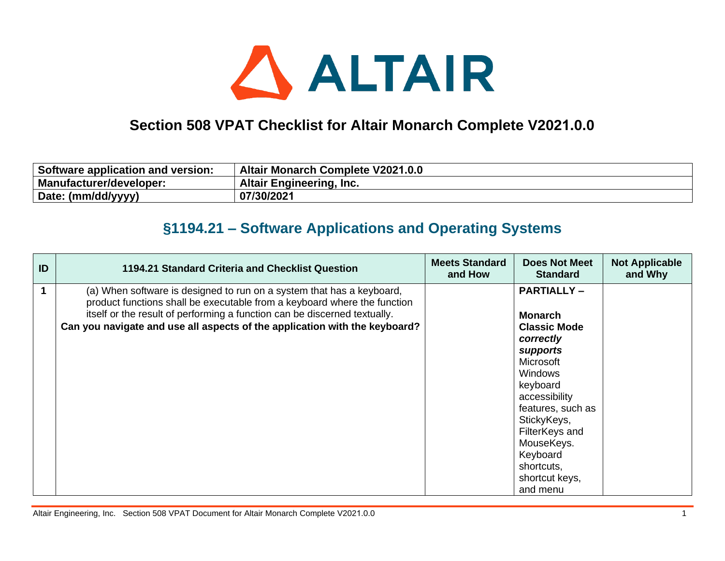

## **Section 508 VPAT Checklist for Altair Monarch Complete V2021.0.0**

| Software application and version: | <b>Altair Monarch Complete V2021.0.0</b> |
|-----------------------------------|------------------------------------------|
| Manufacturer/developer:           | <b>Altair Engineering, Inc.</b>          |
| Date: (mm/dd/yyyy)                | 07/30/2021                               |

## **§1194.21 – Software Applications and Operating Systems**

| ID | 1194.21 Standard Criteria and Checklist Question                                                                                                                                                                                                                                                             | <b>Meets Standard</b><br>and How | <b>Does Not Meet</b><br><b>Standard</b>                                                                                                                                                                                                                                     | <b>Not Applicable</b><br>and Why |
|----|--------------------------------------------------------------------------------------------------------------------------------------------------------------------------------------------------------------------------------------------------------------------------------------------------------------|----------------------------------|-----------------------------------------------------------------------------------------------------------------------------------------------------------------------------------------------------------------------------------------------------------------------------|----------------------------------|
|    | (a) When software is designed to run on a system that has a keyboard,<br>product functions shall be executable from a keyboard where the function<br>itself or the result of performing a function can be discerned textually.<br>Can you navigate and use all aspects of the application with the keyboard? |                                  | <b>PARTIALLY-</b><br><b>Monarch</b><br><b>Classic Mode</b><br>correctly<br>supports<br>Microsoft<br><b>Windows</b><br>keyboard<br>accessibility<br>features, such as<br>StickyKeys,<br>FilterKeys and<br>MouseKeys.<br>Keyboard<br>shortcuts,<br>shortcut keys,<br>and menu |                                  |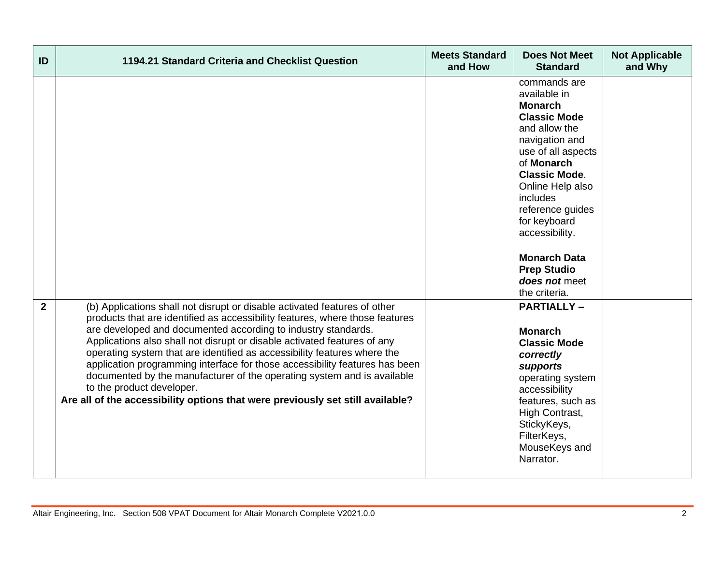| ID             | 1194.21 Standard Criteria and Checklist Question                                                                                                                                                                                                                                                                                                                                                                                                                                                                                                                                                                                                            | <b>Meets Standard</b><br>and How | <b>Does Not Meet</b><br><b>Standard</b>                                                                                                                                                                                                                                                                                                   | <b>Not Applicable</b><br>and Why |
|----------------|-------------------------------------------------------------------------------------------------------------------------------------------------------------------------------------------------------------------------------------------------------------------------------------------------------------------------------------------------------------------------------------------------------------------------------------------------------------------------------------------------------------------------------------------------------------------------------------------------------------------------------------------------------------|----------------------------------|-------------------------------------------------------------------------------------------------------------------------------------------------------------------------------------------------------------------------------------------------------------------------------------------------------------------------------------------|----------------------------------|
|                |                                                                                                                                                                                                                                                                                                                                                                                                                                                                                                                                                                                                                                                             |                                  | commands are<br>available in<br><b>Monarch</b><br><b>Classic Mode</b><br>and allow the<br>navigation and<br>use of all aspects<br>of Monarch<br><b>Classic Mode.</b><br>Online Help also<br>includes<br>reference guides<br>for keyboard<br>accessibility.<br><b>Monarch Data</b><br><b>Prep Studio</b><br>does not meet<br>the criteria. |                                  |
| $\overline{2}$ | (b) Applications shall not disrupt or disable activated features of other<br>products that are identified as accessibility features, where those features<br>are developed and documented according to industry standards.<br>Applications also shall not disrupt or disable activated features of any<br>operating system that are identified as accessibility features where the<br>application programming interface for those accessibility features has been<br>documented by the manufacturer of the operating system and is available<br>to the product developer.<br>Are all of the accessibility options that were previously set still available? |                                  | <b>PARTIALLY-</b><br><b>Monarch</b><br><b>Classic Mode</b><br>correctly<br>supports<br>operating system<br>accessibility<br>features, such as<br>High Contrast,<br>StickyKeys,<br>FilterKeys,<br>MouseKeys and<br>Narrator.                                                                                                               |                                  |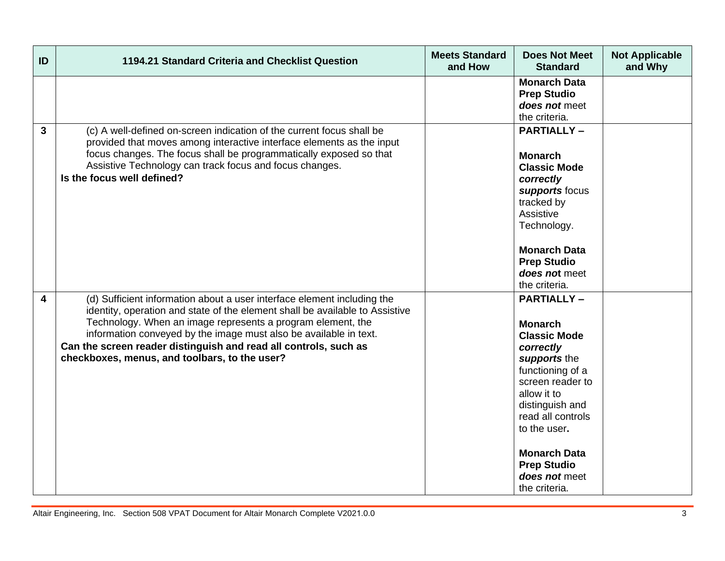| ID | 1194.21 Standard Criteria and Checklist Question                                                                                                                                                                                                                                                                                                                                                                 | <b>Meets Standard</b><br>and How | <b>Does Not Meet</b><br><b>Standard</b>                                                                                                                                                                                                                                               | <b>Not Applicable</b><br>and Why |
|----|------------------------------------------------------------------------------------------------------------------------------------------------------------------------------------------------------------------------------------------------------------------------------------------------------------------------------------------------------------------------------------------------------------------|----------------------------------|---------------------------------------------------------------------------------------------------------------------------------------------------------------------------------------------------------------------------------------------------------------------------------------|----------------------------------|
|    |                                                                                                                                                                                                                                                                                                                                                                                                                  |                                  | <b>Monarch Data</b><br><b>Prep Studio</b><br>does not meet<br>the criteria.                                                                                                                                                                                                           |                                  |
| 3  | (c) A well-defined on-screen indication of the current focus shall be<br>provided that moves among interactive interface elements as the input<br>focus changes. The focus shall be programmatically exposed so that<br>Assistive Technology can track focus and focus changes.<br>Is the focus well defined?                                                                                                    |                                  | <b>PARTIALLY-</b><br><b>Monarch</b><br><b>Classic Mode</b><br>correctly<br>supports focus<br>tracked by<br>Assistive<br>Technology.<br><b>Monarch Data</b><br><b>Prep Studio</b><br>does not meet<br>the criteria.                                                                    |                                  |
| 4  | (d) Sufficient information about a user interface element including the<br>identity, operation and state of the element shall be available to Assistive<br>Technology. When an image represents a program element, the<br>information conveyed by the image must also be available in text.<br>Can the screen reader distinguish and read all controls, such as<br>checkboxes, menus, and toolbars, to the user? |                                  | <b>PARTIALLY-</b><br><b>Monarch</b><br><b>Classic Mode</b><br>correctly<br>supports the<br>functioning of a<br>screen reader to<br>allow it to<br>distinguish and<br>read all controls<br>to the user.<br><b>Monarch Data</b><br><b>Prep Studio</b><br>does not meet<br>the criteria. |                                  |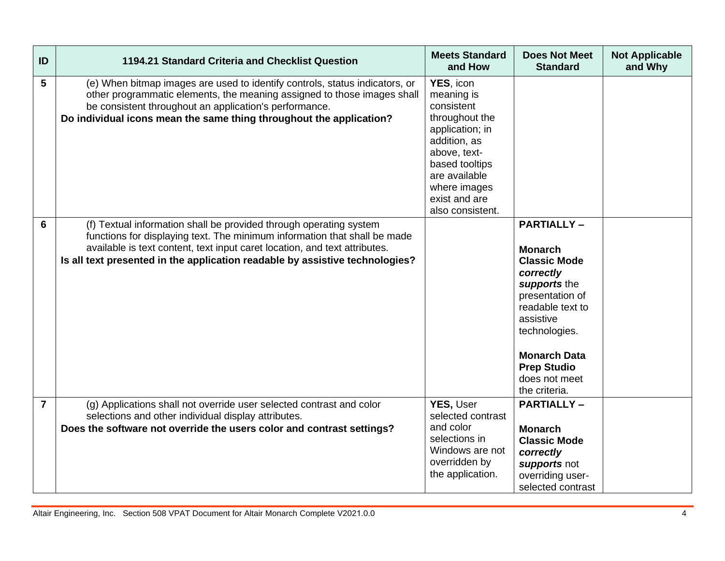| ID             | 1194.21 Standard Criteria and Checklist Question                                                                                                                                                                                                                                                              | <b>Meets Standard</b><br>and How                                                                                                                                                                   | <b>Does Not Meet</b><br><b>Standard</b>                                                                                                                                                                                                     | <b>Not Applicable</b><br>and Why |
|----------------|---------------------------------------------------------------------------------------------------------------------------------------------------------------------------------------------------------------------------------------------------------------------------------------------------------------|----------------------------------------------------------------------------------------------------------------------------------------------------------------------------------------------------|---------------------------------------------------------------------------------------------------------------------------------------------------------------------------------------------------------------------------------------------|----------------------------------|
| 5              | (e) When bitmap images are used to identify controls, status indicators, or<br>other programmatic elements, the meaning assigned to those images shall<br>be consistent throughout an application's performance.<br>Do individual icons mean the same thing throughout the application?                       | YES, icon<br>meaning is<br>consistent<br>throughout the<br>application; in<br>addition, as<br>above, text-<br>based tooltips<br>are available<br>where images<br>exist and are<br>also consistent. |                                                                                                                                                                                                                                             |                                  |
| 6              | (f) Textual information shall be provided through operating system<br>functions for displaying text. The minimum information that shall be made<br>available is text content, text input caret location, and text attributes.<br>Is all text presented in the application readable by assistive technologies? |                                                                                                                                                                                                    | <b>PARTIALLY-</b><br><b>Monarch</b><br><b>Classic Mode</b><br>correctly<br>supports the<br>presentation of<br>readable text to<br>assistive<br>technologies.<br><b>Monarch Data</b><br><b>Prep Studio</b><br>does not meet<br>the criteria. |                                  |
| $\overline{7}$ | (g) Applications shall not override user selected contrast and color<br>selections and other individual display attributes.<br>Does the software not override the users color and contrast settings?                                                                                                          | YES, User<br>selected contrast<br>and color<br>selections in<br>Windows are not<br>overridden by<br>the application.                                                                               | <b>PARTIALLY-</b><br><b>Monarch</b><br><b>Classic Mode</b><br>correctly<br>supports not<br>overriding user-<br>selected contrast                                                                                                            |                                  |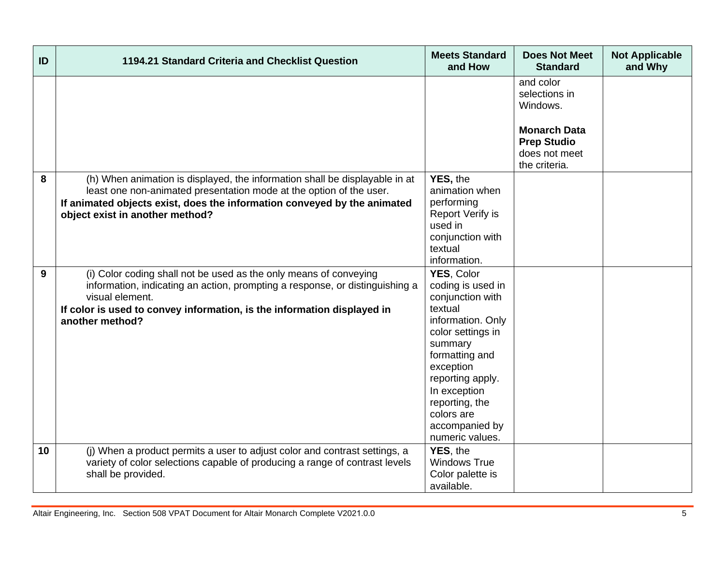| ID | 1194.21 Standard Criteria and Checklist Question                                                                                                                                                                                                                   | <b>Meets Standard</b><br>and How                                                                                                                                                                                                                            | <b>Does Not Meet</b><br><b>Standard</b>                                                                               | <b>Not Applicable</b><br>and Why |
|----|--------------------------------------------------------------------------------------------------------------------------------------------------------------------------------------------------------------------------------------------------------------------|-------------------------------------------------------------------------------------------------------------------------------------------------------------------------------------------------------------------------------------------------------------|-----------------------------------------------------------------------------------------------------------------------|----------------------------------|
|    |                                                                                                                                                                                                                                                                    |                                                                                                                                                                                                                                                             | and color<br>selections in<br>Windows.<br><b>Monarch Data</b><br><b>Prep Studio</b><br>does not meet<br>the criteria. |                                  |
| 8  | (h) When animation is displayed, the information shall be displayable in at<br>least one non-animated presentation mode at the option of the user.<br>If animated objects exist, does the information conveyed by the animated<br>object exist in another method?  | YES, the<br>animation when<br>performing<br>Report Verify is<br>used in<br>conjunction with<br>textual<br>information.                                                                                                                                      |                                                                                                                       |                                  |
| 9  | (i) Color coding shall not be used as the only means of conveying<br>information, indicating an action, prompting a response, or distinguishing a<br>visual element.<br>If color is used to convey information, is the information displayed in<br>another method? | YES, Color<br>coding is used in<br>conjunction with<br>textual<br>information. Only<br>color settings in<br>summary<br>formatting and<br>exception<br>reporting apply.<br>In exception<br>reporting, the<br>colors are<br>accompanied by<br>numeric values. |                                                                                                                       |                                  |
| 10 | (j) When a product permits a user to adjust color and contrast settings, a<br>variety of color selections capable of producing a range of contrast levels<br>shall be provided.                                                                                    | YES, the<br><b>Windows True</b><br>Color palette is<br>available.                                                                                                                                                                                           |                                                                                                                       |                                  |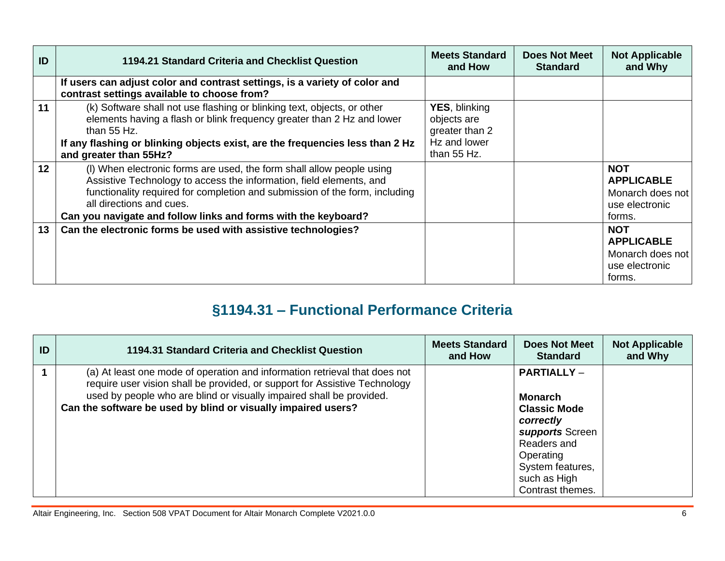| ID | 1194.21 Standard Criteria and Checklist Question                                                                                                                                                                                                                                                                          | <b>Meets Standard</b><br>and How                                                     | <b>Does Not Meet</b><br><b>Standard</b> | <b>Not Applicable</b><br>and Why                                                |
|----|---------------------------------------------------------------------------------------------------------------------------------------------------------------------------------------------------------------------------------------------------------------------------------------------------------------------------|--------------------------------------------------------------------------------------|-----------------------------------------|---------------------------------------------------------------------------------|
|    | If users can adjust color and contrast settings, is a variety of color and<br>contrast settings available to choose from?                                                                                                                                                                                                 |                                                                                      |                                         |                                                                                 |
| 11 | (k) Software shall not use flashing or blinking text, objects, or other<br>elements having a flash or blink frequency greater than 2 Hz and lower<br>than $55$ Hz.<br>If any flashing or blinking objects exist, are the frequencies less than 2 Hz<br>and greater than 55Hz?                                             | <b>YES, blinking</b><br>objects are<br>greater than 2<br>Hz and lower<br>than 55 Hz. |                                         |                                                                                 |
| 12 | (I) When electronic forms are used, the form shall allow people using<br>Assistive Technology to access the information, field elements, and<br>functionality required for completion and submission of the form, including<br>all directions and cues.<br>Can you navigate and follow links and forms with the keyboard? |                                                                                      |                                         | <b>NOT</b><br><b>APPLICABLE</b><br>Monarch does not<br>use electronic<br>forms. |
| 13 | Can the electronic forms be used with assistive technologies?                                                                                                                                                                                                                                                             |                                                                                      |                                         | <b>NOT</b><br><b>APPLICABLE</b><br>Monarch does not<br>use electronic<br>forms. |

## **§1194.31 – Functional Performance Criteria**

| ID | 1194.31 Standard Criteria and Checklist Question                                                                                                                                                                                                                                                  | <b>Meets Standard</b><br>and How | <b>Does Not Meet</b><br><b>Standard</b>                                                                                                                                         | <b>Not Applicable</b><br>and Why |
|----|---------------------------------------------------------------------------------------------------------------------------------------------------------------------------------------------------------------------------------------------------------------------------------------------------|----------------------------------|---------------------------------------------------------------------------------------------------------------------------------------------------------------------------------|----------------------------------|
|    | (a) At least one mode of operation and information retrieval that does not<br>require user vision shall be provided, or support for Assistive Technology<br>used by people who are blind or visually impaired shall be provided.<br>Can the software be used by blind or visually impaired users? |                                  | <b>PARTIALLY -</b><br><b>Monarch</b><br><b>Classic Mode</b><br>correctly<br>supports Screen<br>Readers and<br>Operating<br>System features,<br>such as High<br>Contrast themes. |                                  |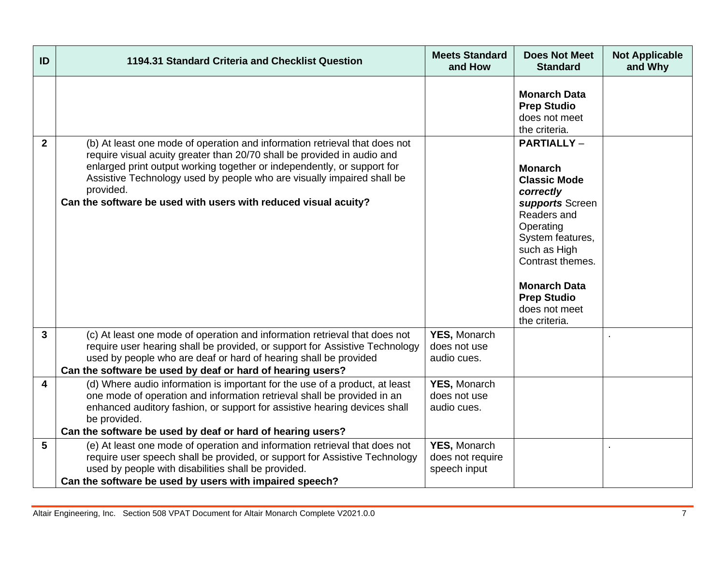| ID           | 1194.31 Standard Criteria and Checklist Question                                                                                                                                                                                                                                                                                                                                           | <b>Meets Standard</b><br>and How                   | <b>Does Not Meet</b><br><b>Standard</b>                                                                                                                                                                                                                        | <b>Not Applicable</b><br>and Why |
|--------------|--------------------------------------------------------------------------------------------------------------------------------------------------------------------------------------------------------------------------------------------------------------------------------------------------------------------------------------------------------------------------------------------|----------------------------------------------------|----------------------------------------------------------------------------------------------------------------------------------------------------------------------------------------------------------------------------------------------------------------|----------------------------------|
|              |                                                                                                                                                                                                                                                                                                                                                                                            |                                                    | <b>Monarch Data</b><br><b>Prep Studio</b><br>does not meet<br>the criteria.                                                                                                                                                                                    |                                  |
| $\mathbf{2}$ | (b) At least one mode of operation and information retrieval that does not<br>require visual acuity greater than 20/70 shall be provided in audio and<br>enlarged print output working together or independently, or support for<br>Assistive Technology used by people who are visually impaired shall be<br>provided.<br>Can the software be used with users with reduced visual acuity? |                                                    | <b>PARTIALLY -</b><br><b>Monarch</b><br><b>Classic Mode</b><br>correctly<br>supports Screen<br>Readers and<br>Operating<br>System features,<br>such as High<br>Contrast themes.<br><b>Monarch Data</b><br><b>Prep Studio</b><br>does not meet<br>the criteria. |                                  |
| $\mathbf{3}$ | (c) At least one mode of operation and information retrieval that does not<br>require user hearing shall be provided, or support for Assistive Technology<br>used by people who are deaf or hard of hearing shall be provided<br>Can the software be used by deaf or hard of hearing users?                                                                                                | <b>YES, Monarch</b><br>does not use<br>audio cues. |                                                                                                                                                                                                                                                                |                                  |
| 4            | (d) Where audio information is important for the use of a product, at least<br>one mode of operation and information retrieval shall be provided in an<br>enhanced auditory fashion, or support for assistive hearing devices shall<br>be provided.<br>Can the software be used by deaf or hard of hearing users?                                                                          | YES, Monarch<br>does not use<br>audio cues.        |                                                                                                                                                                                                                                                                |                                  |
| 5            | (e) At least one mode of operation and information retrieval that does not<br>require user speech shall be provided, or support for Assistive Technology<br>used by people with disabilities shall be provided.<br>Can the software be used by users with impaired speech?                                                                                                                 | YES, Monarch<br>does not require<br>speech input   |                                                                                                                                                                                                                                                                |                                  |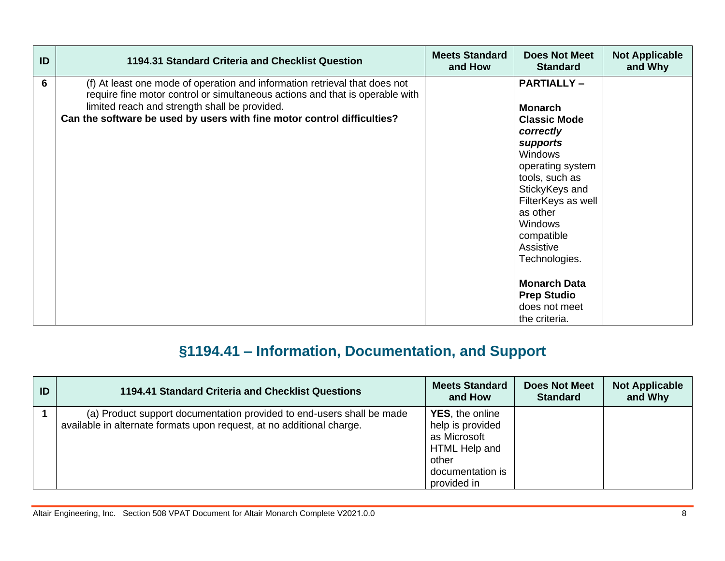| ID | 1194.31 Standard Criteria and Checklist Question                                                                                                                                                                                                                                       | <b>Meets Standard</b><br>and How | <b>Does Not Meet</b><br><b>Standard</b>                                                                                                                                                                                                                                                                                                      | <b>Not Applicable</b><br>and Why |
|----|----------------------------------------------------------------------------------------------------------------------------------------------------------------------------------------------------------------------------------------------------------------------------------------|----------------------------------|----------------------------------------------------------------------------------------------------------------------------------------------------------------------------------------------------------------------------------------------------------------------------------------------------------------------------------------------|----------------------------------|
| 6  | (f) At least one mode of operation and information retrieval that does not<br>require fine motor control or simultaneous actions and that is operable with<br>limited reach and strength shall be provided.<br>Can the software be used by users with fine motor control difficulties? |                                  | <b>PARTIALLY-</b><br><b>Monarch</b><br><b>Classic Mode</b><br>correctly<br>supports<br><b>Windows</b><br>operating system<br>tools, such as<br>StickyKeys and<br>FilterKeys as well<br>as other<br><b>Windows</b><br>compatible<br>Assistive<br>Technologies.<br><b>Monarch Data</b><br><b>Prep Studio</b><br>does not meet<br>the criteria. |                                  |

## **§1194.41 – Information, Documentation, and Support**

| ID | 1194.41 Standard Criteria and Checklist Questions                                                                                              | <b>Meets Standard</b><br>and How                                                                                         | <b>Does Not Meet</b><br><b>Standard</b> | <b>Not Applicable</b><br>and Why |
|----|------------------------------------------------------------------------------------------------------------------------------------------------|--------------------------------------------------------------------------------------------------------------------------|-----------------------------------------|----------------------------------|
|    | (a) Product support documentation provided to end-users shall be made<br>available in alternate formats upon request, at no additional charge. | <b>YES</b> , the online<br>help is provided<br>as Microsoft<br>HTML Help and<br>other<br>documentation is<br>provided in |                                         |                                  |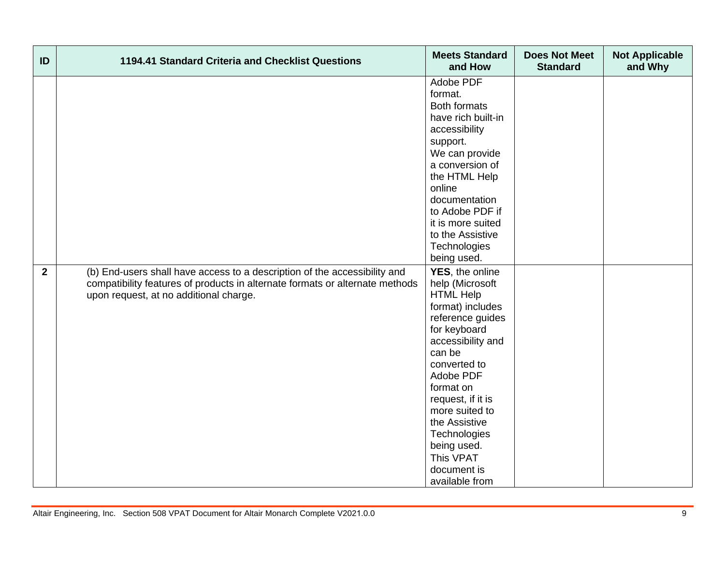| ID           | 1194.41 Standard Criteria and Checklist Questions                                                                                                                                                   | <b>Meets Standard</b><br>and How                                                                                                                                                                                                                                                                           | <b>Does Not Meet</b><br><b>Standard</b> | <b>Not Applicable</b><br>and Why |
|--------------|-----------------------------------------------------------------------------------------------------------------------------------------------------------------------------------------------------|------------------------------------------------------------------------------------------------------------------------------------------------------------------------------------------------------------------------------------------------------------------------------------------------------------|-----------------------------------------|----------------------------------|
|              |                                                                                                                                                                                                     | Adobe PDF<br>format.<br><b>Both formats</b><br>have rich built-in<br>accessibility<br>support.                                                                                                                                                                                                             |                                         |                                  |
|              |                                                                                                                                                                                                     | We can provide<br>a conversion of<br>the HTML Help<br>online<br>documentation                                                                                                                                                                                                                              |                                         |                                  |
|              |                                                                                                                                                                                                     | to Adobe PDF if<br>it is more suited<br>to the Assistive<br>Technologies<br>being used.                                                                                                                                                                                                                    |                                         |                                  |
| $\mathbf{2}$ | (b) End-users shall have access to a description of the accessibility and<br>compatibility features of products in alternate formats or alternate methods<br>upon request, at no additional charge. | YES, the online<br>help (Microsoft<br><b>HTML Help</b><br>format) includes<br>reference guides<br>for keyboard<br>accessibility and<br>can be<br>converted to<br>Adobe PDF<br>format on<br>request, if it is<br>more suited to<br>the Assistive<br>Technologies<br>being used.<br>This VPAT<br>document is |                                         |                                  |